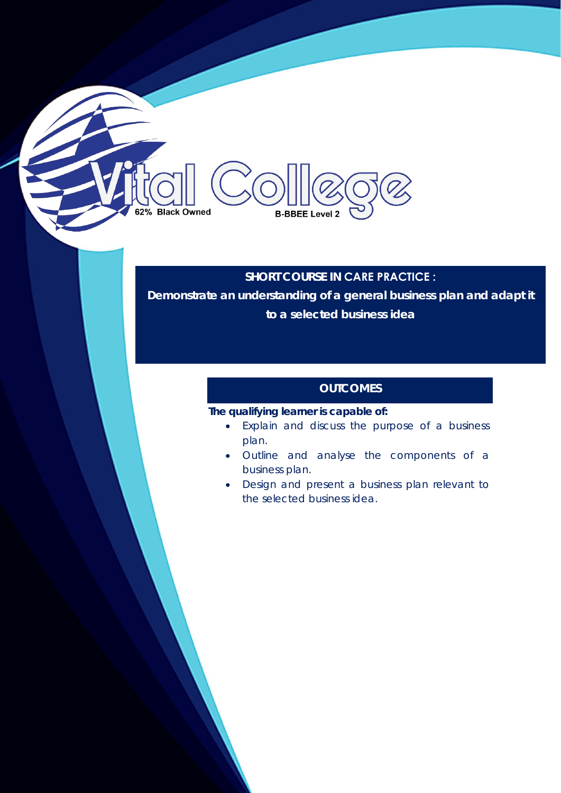## **SHORT COURSE IN CARE PRACTICE :**

**Demonstrate an understanding of a general business plan and adapt it to a selected business idea** 

## **OUTCOMES**

## **The qualifying learner is capable of:**

**B-BBEE Level 2** 

62% Black Owned

- Explain and discuss the purpose of a business plan.
- Outline and analyse the components of a business plan.
- Design and present a business plan relevant to the selected business idea.